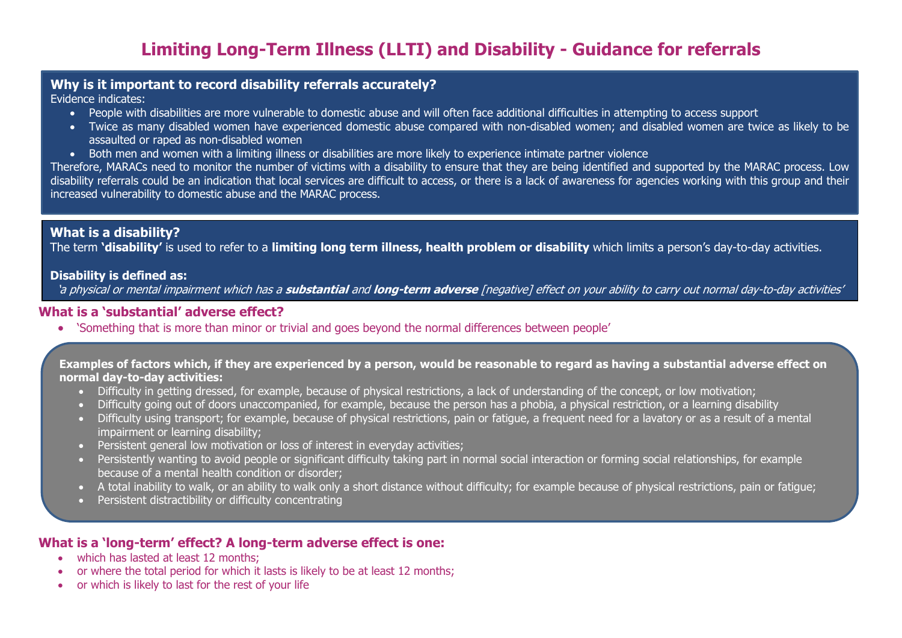# **Limiting Long-Term Illness (LLTI) and Disability - Guidance for referrals**

## **Why is it important to record disability referrals accurately?**

Evidence indicates:

- People with disabilities are more vulnerable to domestic abuse and will often face additional difficulties in attempting to access support
- Twice as many disabled women have experienced domestic abuse compared with non-disabled women; and disabled women are twice as likely to be assaulted or raped as non-disabled women
- Both men and women with a limiting illness or disabilities are more likely to experience intimate partner violence

Therefore, MARACs need to monitor the number of victims with a disability to ensure that they are being identified and supported by the MARAC process. Low disability referrals could be an indication that local services are difficult to access, or there is a lack of awareness for agencies working with this group and their increased vulnerability to domestic abuse and the MARAC process.

# **What is a disability?**

The term **'disability'** is used to refer to a **limiting long term illness, health problem or disability** which limits a person's day-to-day activities.

#### **Disability is defined as:**

'a physical or mental impairment which has a **substantial** and **long-term adverse** [negative] effect on your ability to carry out normal day-to-day activities'

## **What is a 'substantial' adverse effect?**

'Something that is more than minor or trivial and goes beyond the normal differences between people'

#### **Examples of factors which, if they are experienced by a person, would be reasonable to regard as having a substantial adverse effect on normal day-to-day activities:**

- Difficulty in getting dressed, for example, because of physical restrictions, a lack of understanding of the concept, or low motivation;
- Difficulty going out of doors unaccompanied, for example, because the person has a phobia, a physical restriction, or a learning disability
- Difficulty using transport; for example, because of physical restrictions, pain or fatigue, a frequent need for a lavatory or as a result of a mental impairment or learning disability;
- Persistent general low motivation or loss of interest in everyday activities;
- Persistently wanting to avoid people or significant difficulty taking part in normal social interaction or forming social relationships, for example because of a mental health condition or disorder;
- A total inability to walk, or an ability to walk only a short distance without difficulty; for example because of physical restrictions, pain or fatigue;
- Persistent distractibility or difficulty concentrating

# **What is a 'long-term' effect? A long-term adverse effect is one:**

- which has lasted at least 12 months:
- or where the total period for which it lasts is likely to be at least 12 months;
- or which is likely to last for the rest of your life